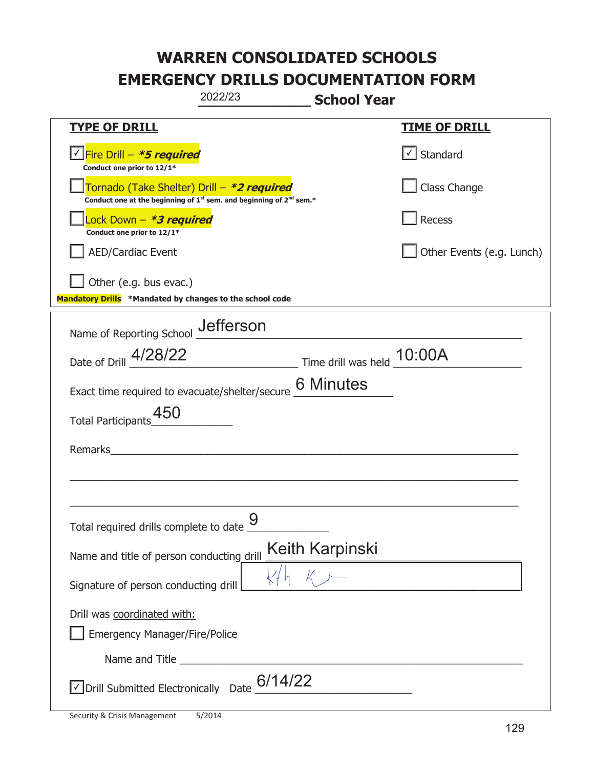|                                                                                                                                           | 2022/23 | <b>School Year</b>                                                                                                                                                                                                                                                                                                     |                           |
|-------------------------------------------------------------------------------------------------------------------------------------------|---------|------------------------------------------------------------------------------------------------------------------------------------------------------------------------------------------------------------------------------------------------------------------------------------------------------------------------|---------------------------|
| <b>TYPE OF DRILL</b>                                                                                                                      |         |                                                                                                                                                                                                                                                                                                                        | <u>TIME OF DRILL</u>      |
| V Fire Drill - *5 required<br>Conduct one prior to 12/1*                                                                                  |         |                                                                                                                                                                                                                                                                                                                        | $\cup$ Standard           |
| Tornado (Take Shelter) Drill – *2 required<br>Conduct one at the beginning of 1 <sup>st</sup> sem. and beginning of 2 <sup>nd</sup> sem.* |         |                                                                                                                                                                                                                                                                                                                        | Class Change              |
| Lock Down – <b>*<i>3 required</i></b><br>Conduct one prior to 12/1*                                                                       |         |                                                                                                                                                                                                                                                                                                                        | Recess                    |
| <b>AED/Cardiac Event</b>                                                                                                                  |         |                                                                                                                                                                                                                                                                                                                        | Other Events (e.g. Lunch) |
| Other (e.g. bus evac.)<br>Mandatory Drills *Mandated by changes to the school code                                                        |         |                                                                                                                                                                                                                                                                                                                        |                           |
| Name of Reporting School __ defferson                                                                                                     |         |                                                                                                                                                                                                                                                                                                                        |                           |
| Date of Drill 4/28/22                                                                                                                     |         | $\frac{10:00A}{\frac{10:00A}{\frac{10:00A}{\frac{10:00A}{\frac{10:00A}{\frac{10:00A}{\frac{10:00A}{\frac{10:00A}{\frac{10:00A}{\frac{10:00A}{\frac{10:00A}{\frac{10:00A}{\frac{10:00A}{\frac{10:00A}{\frac{10:00A}{\frac{10:00A}{\frac{10:00A}{\frac{10:00A}{\frac{10:00A}{\frac{10:00A}{\frac{10:00A}{\frac{10:00A}{$ |                           |
| Exact time required to evacuate/shelter/secure                                                                                            |         | <b>6 Minutes</b>                                                                                                                                                                                                                                                                                                       |                           |
| Total Participants_450                                                                                                                    |         |                                                                                                                                                                                                                                                                                                                        |                           |
| Remarks                                                                                                                                   |         |                                                                                                                                                                                                                                                                                                                        |                           |
|                                                                                                                                           |         |                                                                                                                                                                                                                                                                                                                        |                           |
| Total required drills complete to date $\frac{9}{10}$                                                                                     |         |                                                                                                                                                                                                                                                                                                                        |                           |
| Name and title of person conducting drill                                                                                                 |         | Keith Karpinski                                                                                                                                                                                                                                                                                                        |                           |
| Signature of person conducting drill                                                                                                      |         |                                                                                                                                                                                                                                                                                                                        |                           |
| Drill was coordinated with:<br><b>Emergency Manager/Fire/Police</b>                                                                       |         |                                                                                                                                                                                                                                                                                                                        |                           |
|                                                                                                                                           |         |                                                                                                                                                                                                                                                                                                                        |                           |
| $\vee$ Drill Submitted Electronically Date $\underline{6/14/22}$                                                                          |         |                                                                                                                                                                                                                                                                                                                        |                           |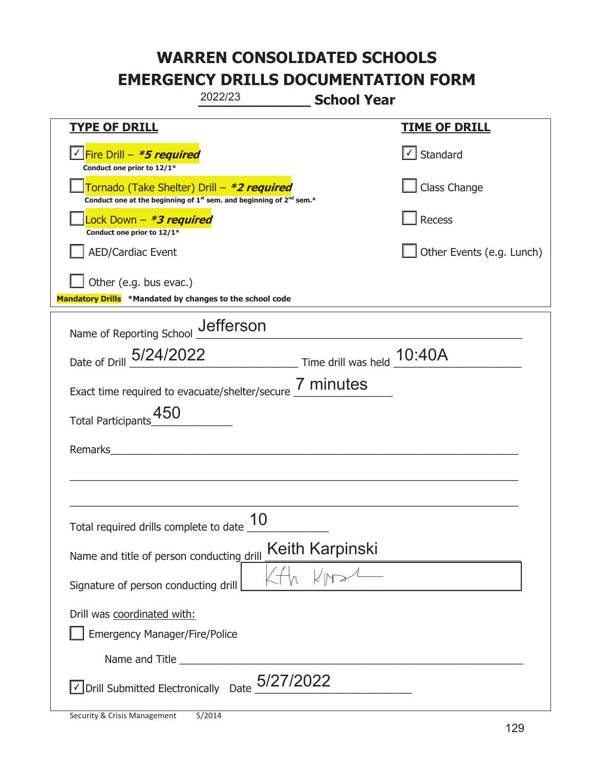|                                                                                    | 2022/23                                                                                     | <b>School Year</b>          |                           |
|------------------------------------------------------------------------------------|---------------------------------------------------------------------------------------------|-----------------------------|---------------------------|
| <b>TYPE OF DRILL</b>                                                               |                                                                                             |                             | <u>TIME OF DRILL</u>      |
| V Fire Drill - *5 required<br>Conduct one prior to 12/1*                           |                                                                                             |                             | $\cup$ Standard           |
| Tornado (Take Shelter) Drill – *2 required                                         | Conduct one at the beginning of 1 <sup>st</sup> sem. and beginning of 2 <sup>nd</sup> sem.* |                             | Class Change              |
| Lock Down – <b>*<i>3 required</i></b><br>Conduct one prior to 12/1*                |                                                                                             |                             | Recess                    |
| <b>AED/Cardiac Event</b>                                                           |                                                                                             |                             | Other Events (e.g. Lunch) |
| Other (e.g. bus evac.)<br>Mandatory Drills *Mandated by changes to the school code |                                                                                             |                             |                           |
| Name of Reporting School _Uefferson                                                |                                                                                             |                             |                           |
| Date of Drill 5/24/2022 Time drill was held 10:40A                                 |                                                                                             |                             |                           |
| Exact time required to evacuate/shelter/secure 7 minutes                           |                                                                                             |                             |                           |
| Total Participants_450                                                             |                                                                                             |                             |                           |
| Remarks                                                                            |                                                                                             |                             |                           |
|                                                                                    |                                                                                             |                             |                           |
| Total required drills complete to date                                             | 10                                                                                          |                             |                           |
| Name and title of person conducting drill                                          |                                                                                             | Keith Karpinski<br>KHA KINA |                           |
| Signature of person conducting drill                                               |                                                                                             |                             |                           |
| Drill was coordinated with:<br><b>Emergency Manager/Fire/Police</b>                |                                                                                             |                             |                           |
|                                                                                    |                                                                                             |                             |                           |
| $\sqrt{\ }$ Drill Submitted Electronically Date $\frac{5/27/2022}{\ }$             |                                                                                             |                             |                           |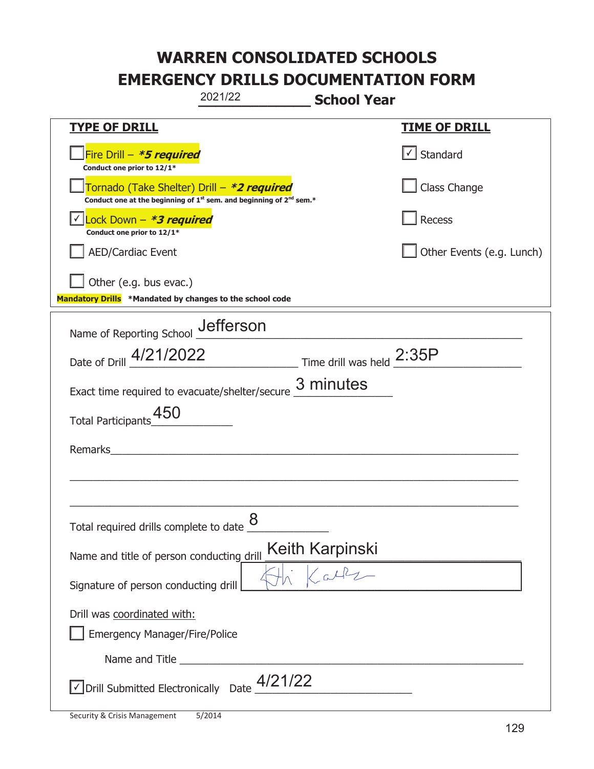|                                                                                                                       | 2021/22 | <b>School Year</b>              |                           |
|-----------------------------------------------------------------------------------------------------------------------|---------|---------------------------------|---------------------------|
| <u>TYPE OF DRILL</u>                                                                                                  |         |                                 | <u>TIME OF DRILL</u>      |
| Fire Drill - *5 required<br>Conduct one prior to 12/1*                                                                |         |                                 | Standard                  |
| Tornado (Take Shelter) Drill – *2 required<br>Conduct one at the beginning of $1st$ sem. and beginning of $2nd$ sem.* |         |                                 | Class Change              |
| Lock Down - *3 required<br>Conduct one prior to 12/1*                                                                 |         |                                 | Recess                    |
| AED/Cardiac Event                                                                                                     |         |                                 | Other Events (e.g. Lunch) |
| Other (e.g. bus evac.)<br>Mandatory Drills *Mandated by changes to the school code                                    |         |                                 |                           |
| Name of Reporting School Jefferson                                                                                    |         |                                 |                           |
| Date of Drill 4/21/2022 Time drill was held 2:35P                                                                     |         |                                 |                           |
| Exact time required to evacuate/shelter/secure $\frac{3 \text{ minutes}}{4}$                                          |         |                                 |                           |
| 450<br><b>Total Participants</b>                                                                                      |         |                                 |                           |
| Remarks                                                                                                               |         |                                 |                           |
|                                                                                                                       |         |                                 |                           |
| Total required drills complete to date $\underline{\mathcal{8}}$                                                      |         |                                 |                           |
| Name and title of person conducting drill                                                                             |         | Keith Karpinski<br>Flank Carles |                           |
| Signature of person conducting drill                                                                                  |         |                                 |                           |
| Drill was coordinated with:<br><b>Emergency Manager/Fire/Police</b>                                                   |         |                                 |                           |
|                                                                                                                       |         |                                 |                           |
| $\vee$ Drill Submitted Electronically Date $\frac{4/21/22}{\cdots}$                                                   |         |                                 |                           |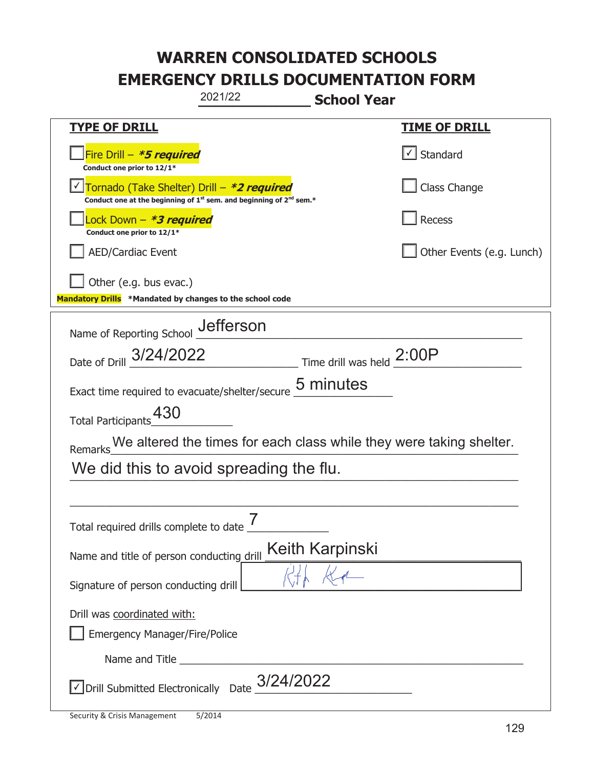| 2021/22<br><b>School Year</b>                                                                                                             |                                   |  |  |  |
|-------------------------------------------------------------------------------------------------------------------------------------------|-----------------------------------|--|--|--|
| <b>TYPE OF DRILL</b>                                                                                                                      | <b>TIME OF DRILL</b>              |  |  |  |
| Fire Drill - *5 required<br>Conduct one prior to 12/1*                                                                                    | $\lfloor \angle \rfloor$ Standard |  |  |  |
| Tornado (Take Shelter) Drill - *2 required<br>Conduct one at the beginning of 1 <sup>st</sup> sem. and beginning of 2 <sup>nd</sup> sem.* | Class Change                      |  |  |  |
| Lock Down – <b><i>*3 required</i></b><br>Conduct one prior to 12/1*                                                                       | Recess                            |  |  |  |
| <b>AED/Cardiac Event</b>                                                                                                                  | Other Events (e.g. Lunch)         |  |  |  |
| Other (e.g. bus evac.)<br>Mandatory Drills *Mandated by changes to the school code                                                        |                                   |  |  |  |
| Name of Reporting School __ defferson                                                                                                     |                                   |  |  |  |
| Date of Drill 3/24/2022 Time drill was held 2:00P                                                                                         |                                   |  |  |  |
| Exact time required to evacuate/shelter/secure 5 minutes                                                                                  |                                   |  |  |  |
| Total Participants_430                                                                                                                    |                                   |  |  |  |
| We altered the times for each class while they were taking shelter.<br>Remarks                                                            |                                   |  |  |  |
| We did this to avoid spreading the flu.                                                                                                   |                                   |  |  |  |
|                                                                                                                                           |                                   |  |  |  |
| 7<br>Total required drills complete to date                                                                                               |                                   |  |  |  |
| <b>Keith Karpinski</b><br>Name and title of person conducting drill                                                                       |                                   |  |  |  |
| Signature of person conducting drill                                                                                                      |                                   |  |  |  |
| Drill was coordinated with:<br><b>Emergency Manager/Fire/Police</b>                                                                       |                                   |  |  |  |
|                                                                                                                                           |                                   |  |  |  |
| $\overline{\mathcal{L}}$ Drill Submitted Electronically Date $3/24/2022$                                                                  |                                   |  |  |  |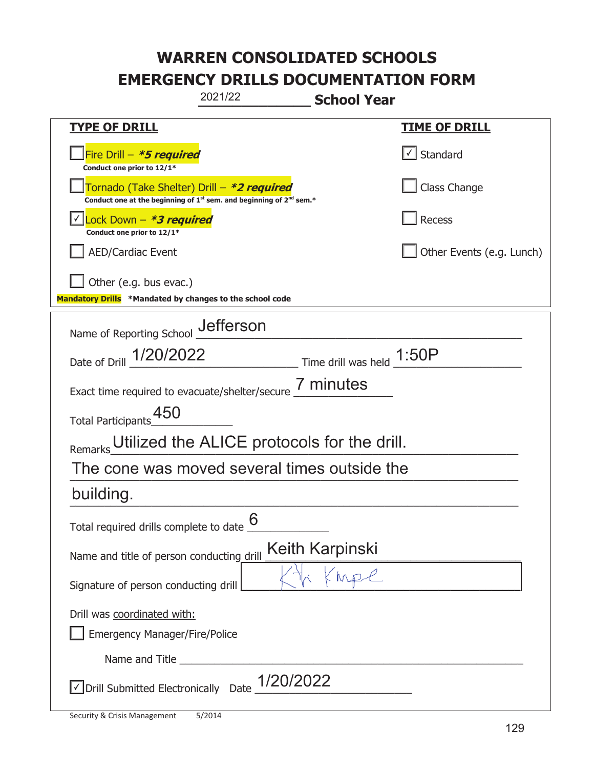|                                                                                             | 2021/22                                                                       | <b>School Year</b>                                              |                           |
|---------------------------------------------------------------------------------------------|-------------------------------------------------------------------------------|-----------------------------------------------------------------|---------------------------|
| <u>TYPE OF DRILL</u>                                                                        |                                                                               |                                                                 | <u>TIME OF DRILL</u>      |
| Fire Drill - *5 required<br>Conduct one prior to 12/1*                                      |                                                                               |                                                                 | $\cup$ Standard           |
| Tornado (Take Shelter) Drill – *2 required                                                  | Conduct one at the beginning of $1^{st}$ sem. and beginning of $2^{nd}$ sem.* |                                                                 | Class Change              |
| Lock Down - *3 required<br>Conduct one prior to 12/1*                                       |                                                                               |                                                                 | Recess                    |
| <b>AED/Cardiac Event</b>                                                                    |                                                                               |                                                                 | Other Events (e.g. Lunch) |
| Other (e.g. bus evac.)<br>Mandatory Drills *Mandated by changes to the school code          |                                                                               |                                                                 |                           |
| Name of Reporting School _Jefferson                                                         |                                                                               |                                                                 |                           |
| Date of Drill 1/20/2022                                                                     |                                                                               | $\frac{1.50P}{1.50P}$ Time drill was held $\frac{1.50P}{1.50P}$ |                           |
| Exact time required to evacuate/shelter/secure 7 minutes                                    |                                                                               |                                                                 |                           |
| Total Participants_450                                                                      |                                                                               |                                                                 |                           |
| Remarks                                                                                     | Utilized the ALICE protocols for the drill.                                   |                                                                 |                           |
| The cone was moved several times outside the                                                |                                                                               |                                                                 |                           |
| building.                                                                                   |                                                                               |                                                                 |                           |
| Total required drills complete to date $6 \over 6$                                          |                                                                               |                                                                 |                           |
| Name and title of person conducting drill                                                   |                                                                               | Keith Karpinski                                                 |                           |
| Signature of person conducting drill                                                        |                                                                               | KMPC                                                            |                           |
| Drill was coordinated with:<br><b>Emergency Manager/Fire/Police</b>                         |                                                                               |                                                                 |                           |
|                                                                                             |                                                                               |                                                                 |                           |
| $\sqrt{\text{Drill}}$ Submitted Electronically Date $\frac{1/20/2022}{\sqrt{\text{Drill}}}$ |                                                                               |                                                                 |                           |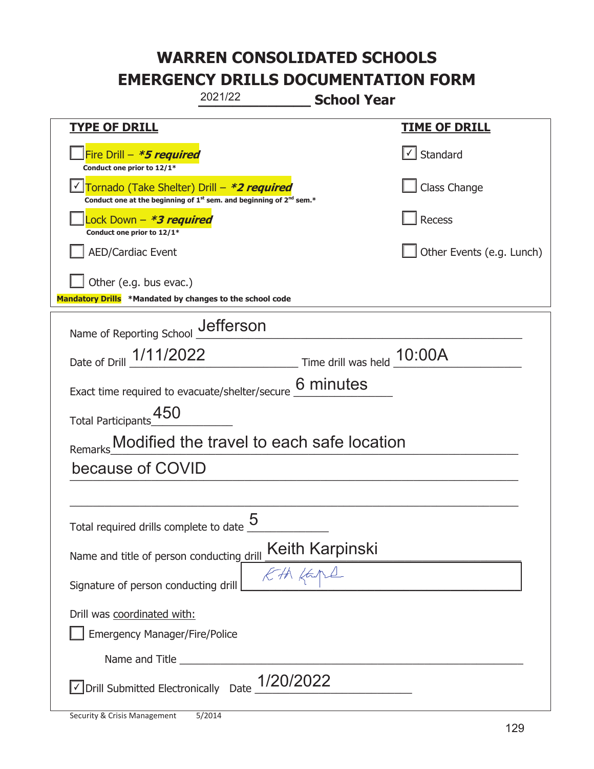| 2021/22<br><b>School Year</b>                                                                                                             |                              |  |  |  |
|-------------------------------------------------------------------------------------------------------------------------------------------|------------------------------|--|--|--|
| <b>TYPE OF DRILL</b>                                                                                                                      | <u>TIME OF DRILL</u>         |  |  |  |
| Fire Drill - *5 required<br>Conduct one prior to 12/1*                                                                                    | $\vert \cdot \vert$ Standard |  |  |  |
| Tornado (Take Shelter) Drill - *2 required<br>Conduct one at the beginning of 1 <sup>st</sup> sem. and beginning of 2 <sup>nd</sup> sem.* | Class Change                 |  |  |  |
| Lock Down – <b>*<i>3 required</i></b><br>Conduct one prior to 12/1*                                                                       | Recess                       |  |  |  |
| <b>AED/Cardiac Event</b>                                                                                                                  | Other Events (e.g. Lunch)    |  |  |  |
| Other (e.g. bus evac.)<br>Mandatory Drills *Mandated by changes to the school code                                                        |                              |  |  |  |
| Name of Reporting School _Uefferson                                                                                                       |                              |  |  |  |
| Date of Drill 1/11/2022<br>Time drill was held 10:00A                                                                                     |                              |  |  |  |
| 6 minutes<br>Exact time required to evacuate/shelter/secure                                                                               |                              |  |  |  |
| Total Participants 450                                                                                                                    |                              |  |  |  |
| Modified the travel to each safe location<br>Remarks                                                                                      |                              |  |  |  |
| because of COVID                                                                                                                          |                              |  |  |  |
|                                                                                                                                           |                              |  |  |  |
| 5<br>Total required drills complete to date                                                                                               |                              |  |  |  |
| Name and title of person conducting drill                                                                                                 |                              |  |  |  |
| Signature of person conducting drill                                                                                                      |                              |  |  |  |
| Drill was coordinated with:<br><b>Emergency Manager/Fire/Police</b>                                                                       |                              |  |  |  |
|                                                                                                                                           |                              |  |  |  |
| $\sqrt{2}$ Drill Submitted Electronically Date $1/20/2022$                                                                                |                              |  |  |  |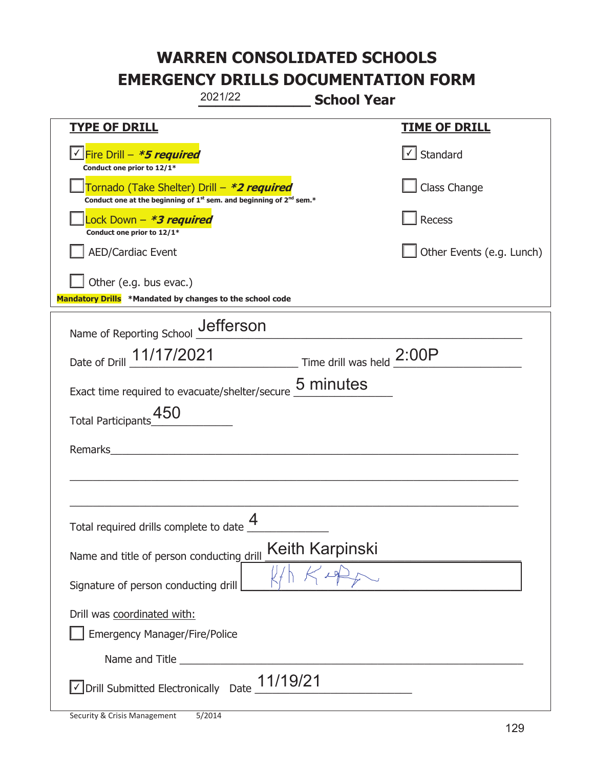|                                                                                    | 2021/22                                                                                     | <b>School Year</b> |                           |
|------------------------------------------------------------------------------------|---------------------------------------------------------------------------------------------|--------------------|---------------------------|
| <b>TYPE OF DRILL</b>                                                               |                                                                                             |                    | <u>TIME OF DRILL</u>      |
| <u>√ Fire Drill – *5 required</u><br>Conduct one prior to 12/1*                    |                                                                                             |                    | $\vert$ Standard          |
| Tornado (Take Shelter) Drill – *2 required                                         | Conduct one at the beginning of 1 <sup>st</sup> sem. and beginning of 2 <sup>nd</sup> sem.* |                    | Class Change              |
| Lock Down - <b><i>*3 required</i></b><br>Conduct one prior to 12/1*                |                                                                                             |                    | Recess                    |
| <b>AED/Cardiac Event</b>                                                           |                                                                                             |                    | Other Events (e.g. Lunch) |
| Other (e.g. bus evac.)<br>Mandatory Drills *Mandated by changes to the school code |                                                                                             |                    |                           |
| Name of Reporting School __ defferson                                              |                                                                                             |                    |                           |
| Date of Drill 11/17/2021 Time drill was held 2:00P                                 |                                                                                             |                    |                           |
| Exact time required to evacuate/shelter/secure                                     |                                                                                             | 5 minutes          |                           |
| Total Participants_450                                                             |                                                                                             |                    |                           |
| Remarks                                                                            |                                                                                             |                    |                           |
|                                                                                    |                                                                                             |                    |                           |
| Total required drills complete to date                                             | $\overline{4}$                                                                              |                    |                           |
| Name and title of person conducting drill                                          |                                                                                             | Keith Karpinski    |                           |
| Signature of person conducting drill                                               |                                                                                             |                    |                           |
| Drill was coordinated with:<br><b>Emergency Manager/Fire/Police</b>                |                                                                                             |                    |                           |
|                                                                                    |                                                                                             |                    |                           |
| $\vee$ Drill Submitted Electronically Date $\underline{11/19/21}$                  |                                                                                             |                    |                           |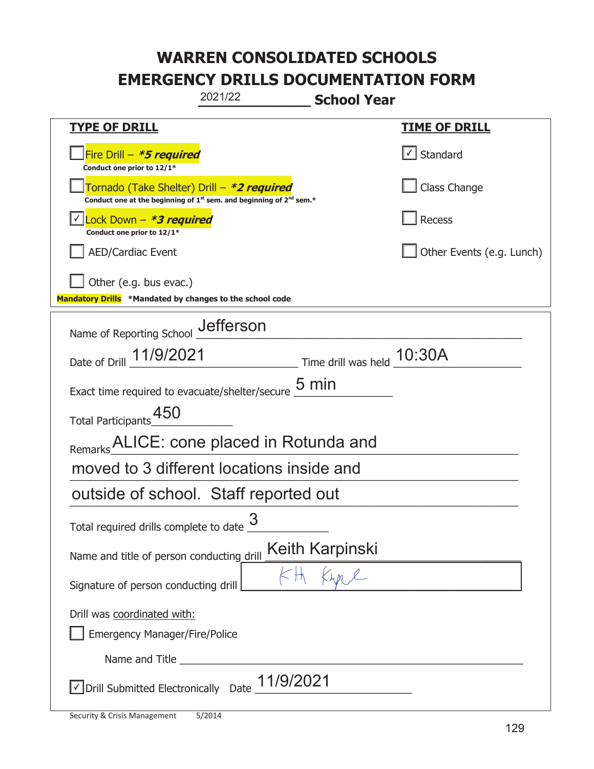|                                                                                                                                           | 2021/22 | <b>School Year</b> |                           |
|-------------------------------------------------------------------------------------------------------------------------------------------|---------|--------------------|---------------------------|
| <b>TYPE OF DRILL</b>                                                                                                                      |         |                    | <u>TIME OF DRILL</u>      |
| Fire Drill - *5 required<br>Conduct one prior to 12/1*                                                                                    |         |                    | $\cup$ Standard           |
| Tornado (Take Shelter) Drill – *2 required<br>Conduct one at the beginning of 1 <sup>st</sup> sem. and beginning of 2 <sup>nd</sup> sem.* |         |                    | Class Change              |
| Lock Down - *3 required<br>Conduct one prior to 12/1*                                                                                     |         |                    | Recess                    |
| <b>AED/Cardiac Event</b>                                                                                                                  |         |                    | Other Events (e.g. Lunch) |
| Other (e.g. bus evac.)<br>Mandatory Drills *Mandated by changes to the school code                                                        |         |                    |                           |
| Name of Reporting School _Jefferson                                                                                                       |         |                    |                           |
| Date of Drill 11/9/2021 Time drill was held 10:30A                                                                                        |         |                    |                           |
| Exact time required to evacuate/shelter/secure $\underline{\mathsf{5}}$ min                                                               |         |                    |                           |
| Total Participants_450                                                                                                                    |         |                    |                           |
| Remarks ALICE: cone placed in Rotunda and                                                                                                 |         |                    |                           |
| moved to 3 different locations inside and                                                                                                 |         |                    |                           |
| outside of school. Staff reported out                                                                                                     |         |                    |                           |
| Total required drills complete to date                                                                                                    | 3       |                    |                           |
| Name and title of person conducting drill                                                                                                 |         | Keith Karpinski    |                           |
| Signature of person conducting drill                                                                                                      |         |                    |                           |
| Drill was coordinated with:<br><b>Emergency Manager/Fire/Police</b>                                                                       |         |                    |                           |
|                                                                                                                                           |         |                    |                           |
| $\vee$ Drill Submitted Electronically Date $\underline{\hspace{1em}11/9/2021}$                                                            |         |                    |                           |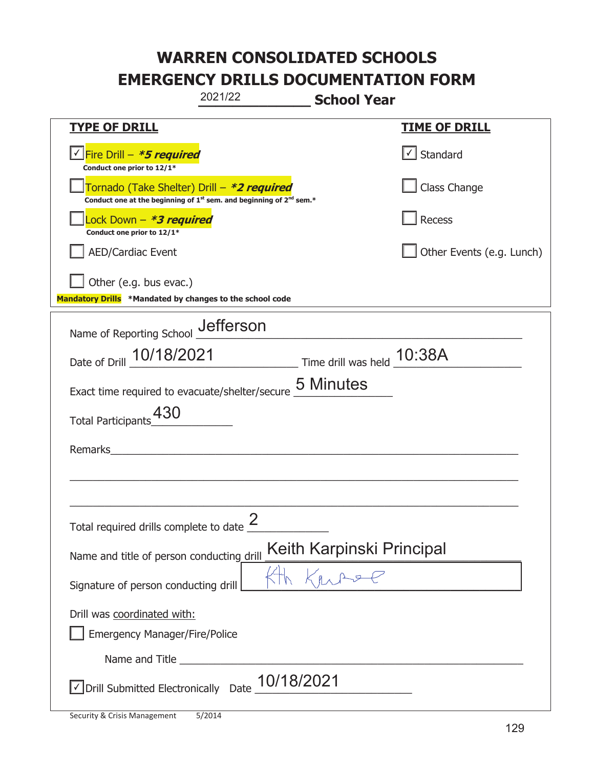|                                                                                    | 2021/22                                                                                     | <b>School Year</b>        |                           |
|------------------------------------------------------------------------------------|---------------------------------------------------------------------------------------------|---------------------------|---------------------------|
| <b>TYPE OF DRILL</b>                                                               |                                                                                             |                           | <u>TIME OF DRILL</u>      |
| <u>√ Fire Drill – *5 required</u><br>Conduct one prior to 12/1*                    |                                                                                             |                           | $\vert$ Standard          |
| Tornado (Take Shelter) Drill – *2 required                                         | Conduct one at the beginning of 1 <sup>st</sup> sem. and beginning of 2 <sup>nd</sup> sem.* |                           | Class Change              |
| Lock Down - <b><i>*3 required</i></b><br>Conduct one prior to 12/1*                |                                                                                             |                           | Recess                    |
| <b>AED/Cardiac Event</b>                                                           |                                                                                             |                           | Other Events (e.g. Lunch) |
| Other (e.g. bus evac.)<br>Mandatory Drills *Mandated by changes to the school code |                                                                                             |                           |                           |
| Name of Reporting School __ defferson                                              |                                                                                             |                           |                           |
| Date of Drill 10/18/2021 Time drill was held 10:38A                                |                                                                                             |                           |                           |
| Exact time required to evacuate/shelter/secure                                     |                                                                                             | 5 Minutes                 |                           |
| 430<br><b>Total Participants</b>                                                   |                                                                                             |                           |                           |
| Remarks                                                                            |                                                                                             |                           |                           |
|                                                                                    |                                                                                             |                           |                           |
|                                                                                    |                                                                                             |                           |                           |
| Total required drills complete to date $\frac{2}{3}$                               |                                                                                             |                           |                           |
| Name and title of person conducting drill                                          |                                                                                             | Keith Karpinski Principal |                           |
| Signature of person conducting drill                                               |                                                                                             |                           |                           |
| Drill was coordinated with:<br><b>Emergency Manager/Fire/Police</b>                |                                                                                             |                           |                           |
|                                                                                    |                                                                                             |                           |                           |
| √ Drill Submitted Electronically Date                                              | 10/18/2021                                                                                  |                           |                           |

t